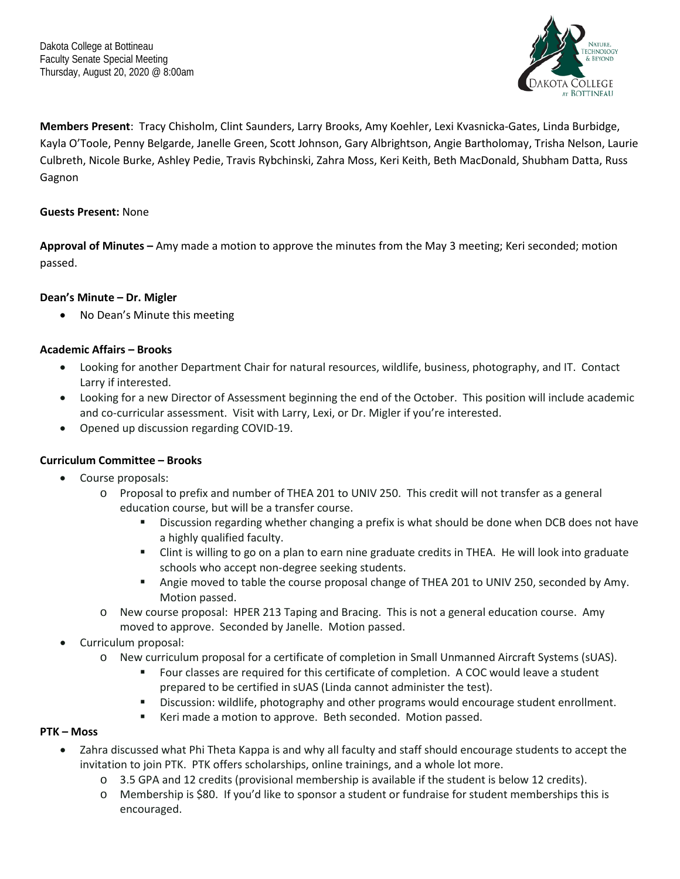

**Members Present**: Tracy Chisholm, Clint Saunders, Larry Brooks, Amy Koehler, Lexi Kvasnicka-Gates, Linda Burbidge, Kayla O'Toole, Penny Belgarde, Janelle Green, Scott Johnson, Gary Albrightson, Angie Bartholomay, Trisha Nelson, Laurie Culbreth, Nicole Burke, Ashley Pedie, Travis Rybchinski, Zahra Moss, Keri Keith, Beth MacDonald, Shubham Datta, Russ Gagnon

# **Guests Present:** None

**Approval of Minutes –** Amy made a motion to approve the minutes from the May 3 meeting; Keri seconded; motion passed.

# **Dean's Minute – Dr. Migler**

• No Dean's Minute this meeting

# **Academic Affairs – Brooks**

- Looking for another Department Chair for natural resources, wildlife, business, photography, and IT. Contact Larry if interested.
- Looking for a new Director of Assessment beginning the end of the October. This position will include academic and co-curricular assessment. Visit with Larry, Lexi, or Dr. Migler if you're interested.
- Opened up discussion regarding COVID-19.

## **Curriculum Committee – Brooks**

- Course proposals:
	- o Proposal to prefix and number of THEA 201 to UNIV 250. This credit will not transfer as a general education course, but will be a transfer course.
		- **Discussion regarding whether changing a prefix is what should be done when DCB does not have** a highly qualified faculty.
		- Clint is willing to go on a plan to earn nine graduate credits in THEA. He will look into graduate schools who accept non-degree seeking students.
		- Angie moved to table the course proposal change of THEA 201 to UNIV 250, seconded by Amy. Motion passed.
	- o New course proposal: HPER 213 Taping and Bracing. This is not a general education course. Amy moved to approve. Seconded by Janelle. Motion passed.
- Curriculum proposal:
	- o New curriculum proposal for a certificate of completion in Small Unmanned Aircraft Systems (sUAS).
		- Four classes are required for this certificate of completion. A COC would leave a student prepared to be certified in sUAS (Linda cannot administer the test).
		- **EXED** Discussion: wildlife, photography and other programs would encourage student enrollment.
		- Keri made a motion to approve. Beth seconded. Motion passed.

## **PTK – Moss**

- Zahra discussed what Phi Theta Kappa is and why all faculty and staff should encourage students to accept the invitation to join PTK. PTK offers scholarships, online trainings, and a whole lot more.
	- o 3.5 GPA and 12 credits (provisional membership is available if the student is below 12 credits).
	- o Membership is \$80. If you'd like to sponsor a student or fundraise for student memberships this is encouraged.